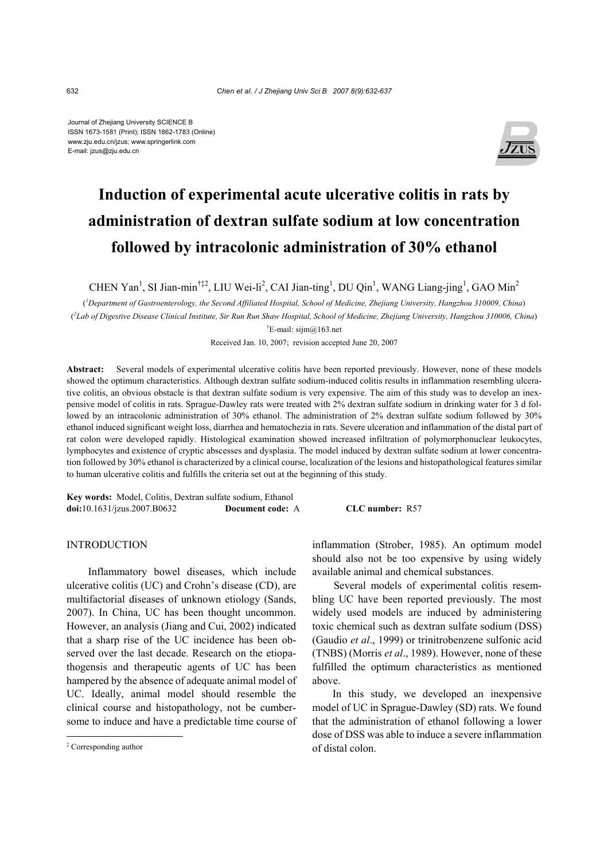Journal of Zhejiang University SCIENCE B ISSN 1673-1581 (Print); ISSN 1862-1783 (Online) www.zju.edu.cn/jzus; www.springerlink.com E-mail: jzus@zju.edu.cn



# **Induction of experimental acute ulcerative colitis in rats by administration of dextran sulfate sodium at low concentration followed by intracolonic administration of 30% ethanol**

CHEN Yan<sup>1</sup>, SI Jian-min<sup>†‡2</sup>, LIU Wei-li<sup>2</sup>, CAI Jian-ting<sup>1</sup>, DU Qin<sup>1</sup>, WANG Liang-jing<sup>1</sup>, GAO Min<sup>2</sup>

( *1 Department of Gastroenterology, the Second Affiliated Hospital, School of Medicine, Zhejiang University, Hangzhou 310009, China*) ( *2 Lab of Digestive Disease Clinical Institute, Sir Run Run Shaw Hospital, School of Medicine, Zhejiang University, Hangzhou 310006, China*) † E-mail: sijm@163.net

Received Jan. 10, 2007; revision accepted June 20, 2007

**Abstract:** Several models of experimental ulcerative colitis have been reported previously. However, none of these models showed the optimum characteristics. Although dextran sulfate sodium-induced colitis results in inflammation resembling ulcerative colitis, an obvious obstacle is that dextran sulfate sodium is very expensive. The aim of this study was to develop an inexpensive model of colitis in rats. Sprague-Dawley rats were treated with 2% dextran sulfate sodium in drinking water for 3 d followed by an intracolonic administration of 30% ethanol. The administration of 2% dextran sulfate sodium followed by 30% ethanol induced significant weight loss, diarrhea and hematochezia in rats. Severe ulceration and inflammation of the distal part of rat colon were developed rapidly. Histological examination showed increased infiltration of polymorphonuclear leukocytes, lymphocytes and existence of cryptic abscesses and dysplasia. The model induced by dextran sulfate sodium at lower concentration followed by 30% ethanol is characterized by a clinical course, localization of the lesions and histopathological features similar to human ulcerative colitis and fulfills the criteria set out at the beginning of this study.

**Key words:** Model, Colitis, Dextran sulfate sodium, Ethanol **doi:**10.1631/jzus.2007.B0632 **Document code:** A **CLC number:** R57

# INTRODUCTION

Inflammatory bowel diseases, which include ulcerative colitis (UC) and Crohn's disease (CD), are multifactorial diseases of unknown etiology (Sands, 2007). In China, UC has been thought uncommon. However, an analysis (Jiang and Cui, 2002) indicated that a sharp rise of the UC incidence has been observed over the last decade. Research on the etiopathogensis and therapeutic agents of UC has been hampered by the absence of adequate animal model of UC. Ideally, animal model should resemble the clinical course and histopathology, not be cumbersome to induce and have a predictable time course of inflammation (Strober, 1985). An optimum model should also not be too expensive by using widely available animal and chemical substances.

Several models of experimental colitis resembling UC have been reported previously. The most widely used models are induced by administering toxic chemical such as dextran sulfate sodium (DSS) (Gaudio *et al*., 1999) or trinitrobenzene sulfonic acid (TNBS) (Morris *et al*., 1989). However, none of these fulfilled the optimum characteristics as mentioned above.

In this study, we developed an inexpensive model of UC in Sprague-Dawley (SD) rats. We found that the administration of ethanol following a lower dose of DSS was able to induce a severe inflammation of distal colon.

<sup>‡</sup> Corresponding author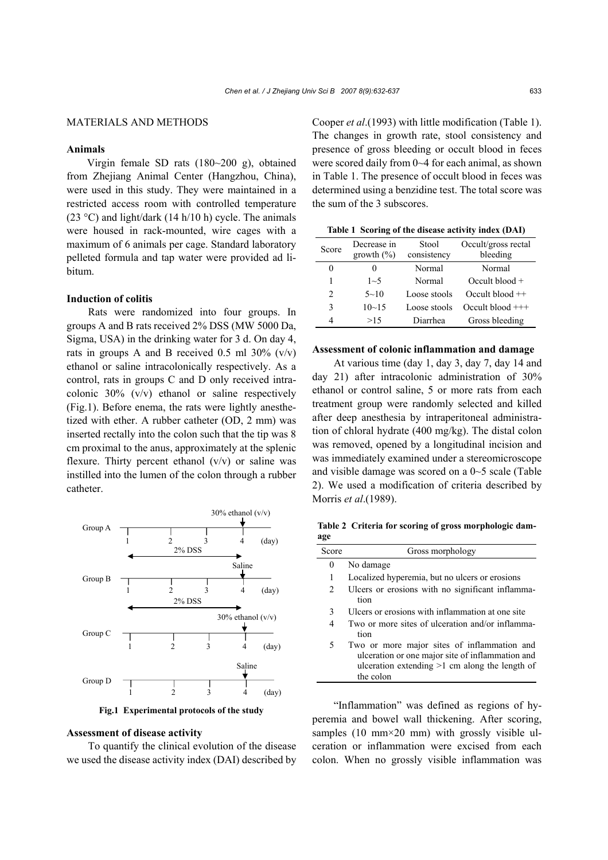# MATERIALS AND METHODS

## **Animals**

Virgin female SD rats (180~200 g), obtained from Zhejiang Animal Center (Hangzhou, China), were used in this study. They were maintained in a restricted access room with controlled temperature (23 °C) and light/dark (14 h/10 h) cycle. The animals were housed in rack-mounted, wire cages with a maximum of 6 animals per cage. Standard laboratory pelleted formula and tap water were provided ad libitum.

## **Induction of colitis**

Rats were randomized into four groups. In groups A and B rats received 2% DSS (MW 5000 Da, Sigma, USA) in the drinking water for 3 d. On day 4, rats in groups A and B received  $0.5$  ml  $30\%$  (v/v) ethanol or saline intracolonically respectively. As a control, rats in groups C and D only received intracolonic 30% (v/v) ethanol or saline respectively (Fig.1). Before enema, the rats were lightly anesthetized with ether. A rubber catheter (OD, 2 mm) was inserted rectally into the colon such that the tip was 8 cm proximal to the anus, approximately at the splenic flexure. Thirty percent ethanol  $(v/v)$  or saline was instilled into the lumen of the colon through a rubber catheter.



**Fig.1 Experimental protocols of the study**

### **Assessment of disease activity**

To quantify the clinical evolution of the disease we used the disease activity index (DAI) described by Cooper *et al*.(1993) with little modification (Table 1). The changes in growth rate, stool consistency and presence of gross bleeding or occult blood in feces were scored daily from 0~4 for each animal, as shown in Table 1. The presence of occult blood in feces was determined using a benzidine test. The total score was the sum of the 3 subscores.

**Table 1 Scoring of the disease activity index (DAI)**

| Score | Decrease in<br>growth $(\% )$ | Stool<br>consistency | Occult/gross rectal<br>bleeding |
|-------|-------------------------------|----------------------|---------------------------------|
| 0     |                               | Normal               | Normal                          |
| 1     | $1 - 5$                       | Normal               | $Occult blood +$                |
| 2     | $5 - 10$                      | Loose stools         | Occult blood $++$               |
| 3     | $10 - 15$                     | Loose stools         | Occult blood $++$               |
| 4     | >15                           | Diarrhea             | Gross bleeding                  |

#### **Assessment of colonic inflammation and damage**

At various time (day 1, day 3, day 7, day 14 and day 21) after intracolonic administration of 30% ethanol or control saline, 5 or more rats from each treatment group were randomly selected and killed after deep anesthesia by intraperitoneal administration of chloral hydrate (400 mg/kg). The distal colon was removed, opened by a longitudinal incision and was immediately examined under a stereomicroscope and visible damage was scored on a 0~5 scale (Table 2). We used a modification of criteria described by Morris *et al*.(1989).

**Table 2 Criteria for scoring of gross morphologic damage**

| Score          | Gross morphology                                                                                                                                                 |  |  |
|----------------|------------------------------------------------------------------------------------------------------------------------------------------------------------------|--|--|
| 0              | No damage                                                                                                                                                        |  |  |
| 1              | Localized hyperemia, but no ulcers or erosions                                                                                                                   |  |  |
| $\mathfrak{D}$ | Ulcers or erosions with no significant inflamma-<br>tion                                                                                                         |  |  |
| 3              | Ulcers or erosions with inflammation at one site                                                                                                                 |  |  |
| 4              | Two or more sites of ulceration and/or inflamma-<br>tion                                                                                                         |  |  |
| 5.             | Two or more major sites of inflammation and<br>ulceration or one major site of inflammation and<br>ulceration extending $>1$ cm along the length of<br>the colon |  |  |
|                |                                                                                                                                                                  |  |  |

"Inflammation" was defined as regions of hyperemia and bowel wall thickening. After scoring, samples (10 mm×20 mm) with grossly visible ulceration or inflammation were excised from each colon. When no grossly visible inflammation was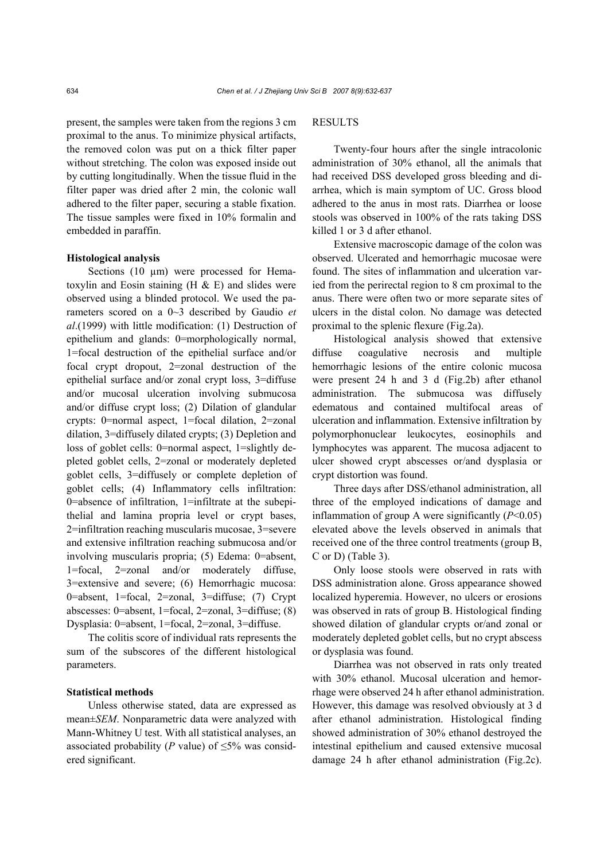present, the samples were taken from the regions 3 cm proximal to the anus. To minimize physical artifacts, the removed colon was put on a thick filter paper without stretching. The colon was exposed inside out by cutting longitudinally. When the tissue fluid in the filter paper was dried after 2 min, the colonic wall adhered to the filter paper, securing a stable fixation. The tissue samples were fixed in 10% formalin and embedded in paraffin.

## **Histological analysis**

Sections (10 µm) were processed for Hematoxylin and Eosin staining  $(H & E)$  and slides were observed using a blinded protocol. We used the parameters scored on a 0~3 described by Gaudio *et al*.(1999) with little modification: (1) Destruction of epithelium and glands: 0=morphologically normal, 1=focal destruction of the epithelial surface and/or focal crypt dropout, 2=zonal destruction of the epithelial surface and/or zonal crypt loss, 3=diffuse and/or mucosal ulceration involving submucosa and/or diffuse crypt loss; (2) Dilation of glandular crypts: 0=normal aspect, 1=focal dilation, 2=zonal dilation, 3=diffusely dilated crypts; (3) Depletion and loss of goblet cells: 0=normal aspect, 1=slightly depleted goblet cells, 2=zonal or moderately depleted goblet cells, 3=diffusely or complete depletion of goblet cells; (4) Inflammatory cells infiltration: 0=absence of infiltration, 1=infiltrate at the subepithelial and lamina propria level or crypt bases, 2=infiltration reaching muscularis mucosae, 3=severe and extensive infiltration reaching submucosa and/or involving muscularis propria; (5) Edema: 0=absent, 1=focal, 2=zonal and/or moderately diffuse, 3=extensive and severe; (6) Hemorrhagic mucosa: 0=absent, 1=focal, 2=zonal, 3=diffuse; (7) Crypt abscesses: 0=absent, 1=focal, 2=zonal, 3=diffuse; (8) Dysplasia: 0=absent, 1=focal, 2=zonal, 3=diffuse.

The colitis score of individual rats represents the sum of the subscores of the different histological parameters.

# **Statistical methods**

Unless otherwise stated, data are expressed as mean±*SEM*. Nonparametric data were analyzed with Mann-Whitney U test. With all statistical analyses, an associated probability (*P* value) of  $\leq$ 5% was considered significant.

# **RESULTS**

Twenty-four hours after the single intracolonic administration of 30% ethanol, all the animals that had received DSS developed gross bleeding and diarrhea, which is main symptom of UC. Gross blood adhered to the anus in most rats. Diarrhea or loose stools was observed in 100% of the rats taking DSS killed 1 or 3 d after ethanol.

Extensive macroscopic damage of the colon was observed. Ulcerated and hemorrhagic mucosae were found. The sites of inflammation and ulceration varied from the perirectal region to 8 cm proximal to the anus. There were often two or more separate sites of ulcers in the distal colon. No damage was detected proximal to the splenic flexure (Fig.2a).

Histological analysis showed that extensive diffuse coagulative necrosis and multiple hemorrhagic lesions of the entire colonic mucosa were present 24 h and 3 d (Fig.2b) after ethanol administration. The submucosa was diffusely edematous and contained multifocal areas of ulceration and inflammation. Extensive infiltration by polymorphonuclear leukocytes, eosinophils and lymphocytes was apparent. The mucosa adjacent to ulcer showed crypt abscesses or/and dysplasia or crypt distortion was found.

Three days after DSS/ethanol administration, all three of the employed indications of damage and inflammation of group A were significantly (*P*<0.05) elevated above the levels observed in animals that received one of the three control treatments (group B, C or D) (Table 3).

Only loose stools were observed in rats with DSS administration alone. Gross appearance showed localized hyperemia. However, no ulcers or erosions was observed in rats of group B. Histological finding showed dilation of glandular crypts or/and zonal or moderately depleted goblet cells, but no crypt abscess or dysplasia was found.

Diarrhea was not observed in rats only treated with 30% ethanol. Mucosal ulceration and hemorrhage were observed 24 h after ethanol administration. However, this damage was resolved obviously at 3 d after ethanol administration. Histological finding showed administration of 30% ethanol destroyed the intestinal epithelium and caused extensive mucosal damage 24 h after ethanol administration (Fig.2c).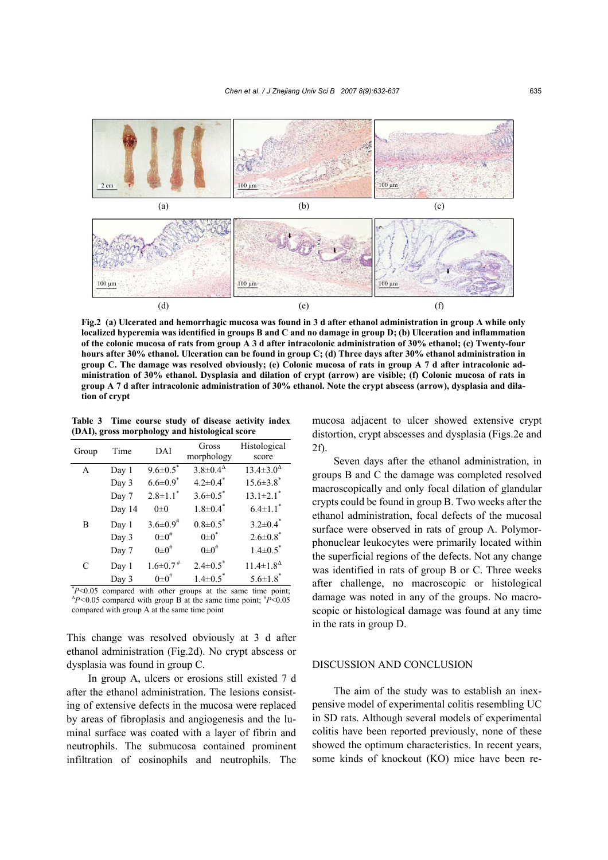

**Fig.2 (a) Ulcerated and hemorrhagic mucosa was found in 3 d after ethanol administration in group A while only localized hyperemia was identified in groups B and C and no damage in group D; (b) Ulceration and inflammation of the colonic mucosa of rats from group A 3 d after intracolonic administration of 30% ethanol; (c) Twenty-four hours after 30% ethanol. Ulceration can be found in group C; (d) Three days after 30% ethanol administration in group C. The damage was resolved obviously; (e) Colonic mucosa of rats in group A 7 d after intracolonic administration of 30% ethanol. Dysplasia and dilation of crypt (arrow) are visible; (f) Colonic mucosa of rats in group A 7 d after intracolonic administration of 30% ethanol. Note the crypt abscess (arrow), dysplasia and dilation of crypt** 

**Table 3 Time course study of disease activity index (DAI), gross morphology and histological score**

| Group | Time   | DAI                        | Gross                      | Histological                |
|-------|--------|----------------------------|----------------------------|-----------------------------|
|       |        |                            | morphology                 | score                       |
| А     | Day 1  | $9.6 \pm 0.5$              | $3.8 \pm 0.4^{\Delta}$     | $13.4 \pm 3.0^{\Delta}$     |
|       | Day 3  | $6.6 \pm 0.9$ *            | $4.2 \pm 0.4$ <sup>*</sup> | $15.6 \pm 3.8$ <sup>*</sup> |
|       | Day 7  | $2.8 \pm 1.1$ <sup>*</sup> | $3.6 \pm 0.5$              | $13.1 \pm 2.1$ <sup>*</sup> |
|       | Day 14 | $0\pm 0$                   | $1.8 \pm 0.4^*$            | $6.4 \pm 1.1$ <sup>*</sup>  |
| B     | Day 1  | $3.6 \pm 0.9$ <sup>#</sup> | $0.8 \pm 0.5$              | $3.2 \pm 0.4^*$             |
|       | Day 3  | $0 \pm 0^{\#}$             | $0 \pm 0^*$                | $2.6 \pm 0.8$ <sup>*</sup>  |
|       | Day 7  | $0 \pm 0^{\#}$             | $0 \pm 0^{\#}$             | $1.4 \pm 0.5$ <sup>*</sup>  |
| C     | Day 1  | $1.6 \pm 0.7$ <sup>#</sup> | $2.4 \pm 0.5$              | $11.4 \pm 1.8^{\Delta}$     |
|       | Day 3  | $0\pm 0^{\#}$              | $1.4 \pm 0.5$              | $5.6 \pm 1.8$ <sup>*</sup>  |

\* *P*<0.05 compared with other groups at the same time point;  $\Delta P$ <0.05 compared with group B at the same time point;  $P$  <0.05 compared with group A at the same time point

This change was resolved obviously at 3 d after ethanol administration (Fig.2d). No crypt abscess or dysplasia was found in group C.

In group A, ulcers or erosions still existed 7 d after the ethanol administration. The lesions consisting of extensive defects in the mucosa were replaced by areas of fibroplasis and angiogenesis and the luminal surface was coated with a layer of fibrin and neutrophils. The submucosa contained prominent infiltration of eosinophils and neutrophils. The

mucosa adjacent to ulcer showed extensive crypt distortion, crypt abscesses and dysplasia (Figs.2e and 2f).

Seven days after the ethanol administration, in groups B and C the damage was completed resolved macroscopically and only focal dilation of glandular crypts could be found in group B. Two weeks after the ethanol administration, focal defects of the mucosal surface were observed in rats of group A. Polymorphonuclear leukocytes were primarily located within the superficial regions of the defects. Not any change was identified in rats of group B or C. Three weeks after challenge, no macroscopic or histological damage was noted in any of the groups. No macroscopic or histological damage was found at any time in the rats in group D.

## DISCUSSION AND CONCLUSION

The aim of the study was to establish an inexpensive model of experimental colitis resembling UC in SD rats. Although several models of experimental colitis have been reported previously, none of these showed the optimum characteristics. In recent years, some kinds of knockout (KO) mice have been re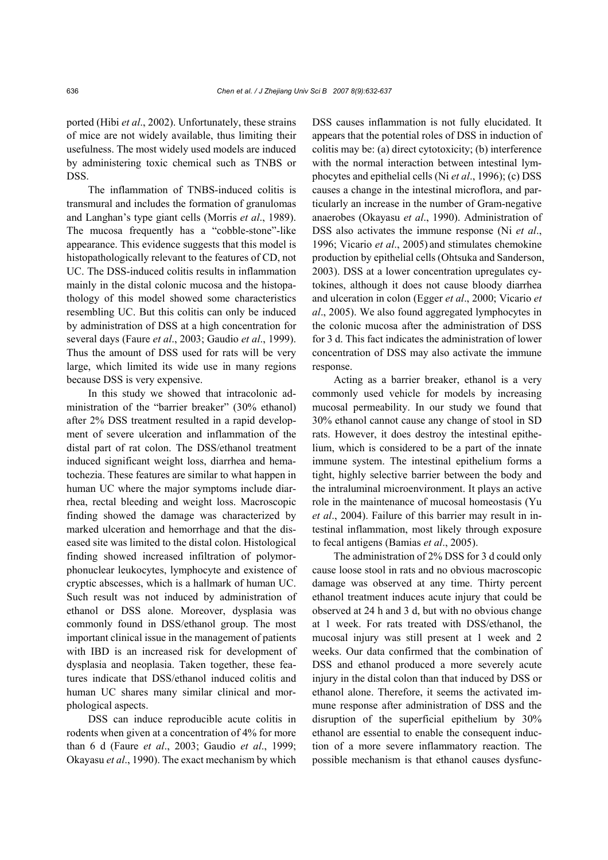ported (Hibi *et al*., 2002). Unfortunately, these strains of mice are not widely available, thus limiting their usefulness. The most widely used models are induced by administering toxic chemical such as TNBS or DSS.

The inflammation of TNBS-induced colitis is transmural and includes the formation of granulomas and Langhan's type giant cells (Morris *et al*., 1989). The mucosa frequently has a "cobble-stone"-like appearance. This evidence suggests that this model is histopathologically relevant to the features of CD, not UC. The DSS-induced colitis results in inflammation mainly in the distal colonic mucosa and the histopathology of this model showed some characteristics resembling UC. But this colitis can only be induced by administration of DSS at a high concentration for several days (Faure *et al*., 2003; Gaudio *et al*., 1999). Thus the amount of DSS used for rats will be very large, which limited its wide use in many regions because DSS is very expensive.

In this study we showed that intracolonic administration of the "barrier breaker" (30% ethanol) after 2% DSS treatment resulted in a rapid development of severe ulceration and inflammation of the distal part of rat colon. The DSS/ethanol treatment induced significant weight loss, diarrhea and hematochezia. These features are similar to what happen in human UC where the major symptoms include diarrhea, rectal bleeding and weight loss. Macroscopic finding showed the damage was characterized by marked ulceration and hemorrhage and that the diseased site was limited to the distal colon. Histological finding showed increased infiltration of polymorphonuclear leukocytes, lymphocyte and existence of cryptic abscesses, which is a hallmark of human UC. Such result was not induced by administration of ethanol or DSS alone. Moreover, dysplasia was commonly found in DSS/ethanol group. The most important clinical issue in the management of patients with IBD is an increased risk for development of dysplasia and neoplasia. Taken together, these features indicate that DSS/ethanol induced colitis and human UC shares many similar clinical and morphological aspects.

DSS can induce reproducible acute colitis in rodents when given at a concentration of 4% for more than 6 d (Faure *et al*., 2003; Gaudio *et al*., 1999; Okayasu *et al*., 1990). The exact mechanism by which DSS causes inflammation is not fully elucidated. It appears that the potential roles of DSS in induction of colitis may be: (a) direct cytotoxicity; (b) interference with the normal interaction between intestinal lymphocytes and epithelial cells (Ni *et al*., 1996); (c) DSS causes a change in the intestinal microflora, and particularly an increase in the number of Gram-negative anaerobes (Okayasu *et al*., 1990). Administration of DSS also activates the immune response (Ni *et al*., 1996; Vicario *et al*., 2005) and stimulates chemokine production by epithelial cells (Ohtsuka and Sanderson, 2003). DSS at a lower concentration upregulates cytokines, although it does not cause bloody diarrhea and ulceration in colon (Egger *et al*., 2000; Vicario *et al*., 2005). We also found aggregated lymphocytes in the colonic mucosa after the administration of DSS for 3 d. This fact indicates the administration of lower concentration of DSS may also activate the immune response.

Acting as a barrier breaker, ethanol is a very commonly used vehicle for models by increasing mucosal permeability. In our study we found that 30% ethanol cannot cause any change of stool in SD rats. However, it does destroy the intestinal epithelium, which is considered to be a part of the innate immune system. The intestinal epithelium forms a tight, highly selective barrier between the body and the intraluminal microenvironment. It plays an active role in the maintenance of mucosal homeostasis (Yu *et al*., 2004). Failure of this barrier may result in intestinal inflammation, most likely through exposure to fecal antigens (Bamias *et al*., 2005).

The administration of 2% DSS for 3 d could only cause loose stool in rats and no obvious macroscopic damage was observed at any time. Thirty percent ethanol treatment induces acute injury that could be observed at 24 h and 3 d, but with no obvious change at 1 week. For rats treated with DSS/ethanol, the mucosal injury was still present at 1 week and 2 weeks. Our data confirmed that the combination of DSS and ethanol produced a more severely acute injury in the distal colon than that induced by DSS or ethanol alone. Therefore, it seems the activated immune response after administration of DSS and the disruption of the superficial epithelium by 30% ethanol are essential to enable the consequent induction of a more severe inflammatory reaction. The possible mechanism is that ethanol causes dysfunc